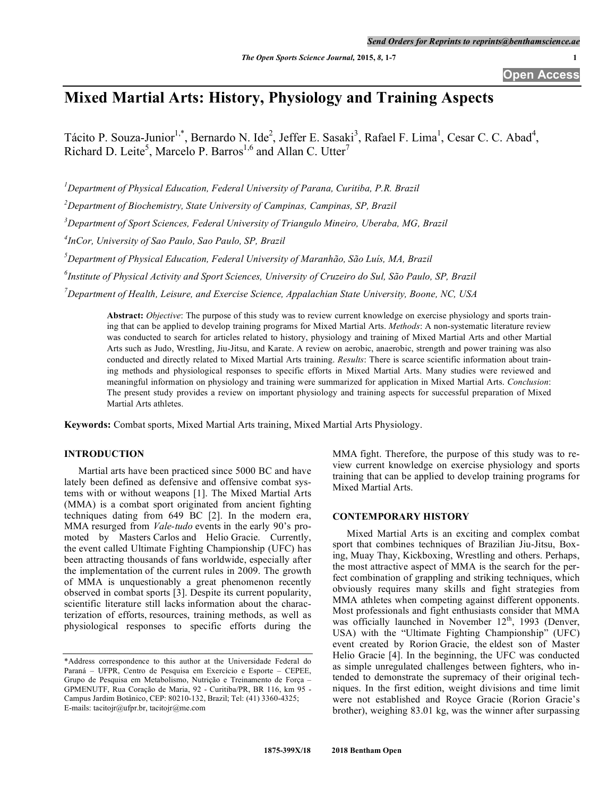**Open Access**

# **Mixed Martial Arts: History, Physiology and Training Aspects**

Tácito P. Souza-Junior<sup>1,\*</sup>, Bernardo N. Ide<sup>2</sup>, Jeffer E. Sasaki<sup>3</sup>, Rafael F. Lima<sup>1</sup>, Cesar C. C. Abad<sup>4</sup>, Richard D. Leite<sup>5</sup>, Marcelo P. Barros<sup>1,6</sup> and Allan C. Utter<sup>7</sup>

*1 Department of Physical Education, Federal University of Parana, Curitiba, P.R. Brazil*

*2 Department of Biochemistry, State University of Campinas, Campinas, SP, Brazil*

*3 Department of Sport Sciences, Federal University of Triangulo Mineiro, Uberaba, MG, Brazil*

*4 InCor, University of Sao Paulo, Sao Paulo, SP, Brazil*

*5 Department of Physical Education, Federal University of Maranhão, São Luís, MA, Brazil*

*6 Institute of Physical Activity and Sport Sciences, University of Cruzeiro do Sul, São Paulo, SP, Brazil*

*7 Department of Health, Leisure, and Exercise Science, Appalachian State University, Boone, NC, USA*

**Abstract:** *Objective*: The purpose of this study was to review current knowledge on exercise physiology and sports training that can be applied to develop training programs for Mixed Martial Arts. *Methods*: A non-systematic literature review was conducted to search for articles related to history, physiology and training of Mixed Martial Arts and other Martial Arts such as Judo, Wrestling, Jiu-Jitsu, and Karate. A review on aerobic, anaerobic, strength and power training was also conducted and directly related to Mixed Martial Arts training. *Results*: There is scarce scientific information about training methods and physiological responses to specific efforts in Mixed Martial Arts. Many studies were reviewed and meaningful information on physiology and training were summarized for application in Mixed Martial Arts. *Conclusion*: The present study provides a review on important physiology and training aspects for successful preparation of Mixed Martial Arts athletes.

**Keywords:** Combat sports, Mixed Martial Arts training, Mixed Martial Arts Physiology.

# **INTRODUCTION**

Martial arts have been practiced since 5000 BC and have lately been defined as defensive and offensive combat systems with or without weapons [1]. The Mixed Martial Arts (MMA) is a combat sport originated from ancient fighting techniques dating from 649 BC [2]. In the modern era, MMA resurged from *Vale-tudo* events in the early 90's promoted by Masters Carlos and Helio Gracie. Currently, the event called Ultimate Fighting Championship (UFC) has been attracting thousands of fans worldwide, especially after the implementation of the current rules in 2009. The growth of MMA is unquestionably a great phenomenon recently observed in combat sports [3]. Despite its current popularity, scientific literature still lacks information about the characterization of efforts, resources, training methods, as well as physiological responses to specific efforts during the

MMA fight. Therefore, the purpose of this study was to review current knowledge on exercise physiology and sports training that can be applied to develop training programs for Mixed Martial Arts.

## **CONTEMPORARY HISTORY**

Mixed Martial Arts is an exciting and complex combat sport that combines techniques of Brazilian Jiu-Jitsu, Boxing, Muay Thay, Kickboxing, Wrestling and others. Perhaps, the most attractive aspect of MMA is the search for the perfect combination of grappling and striking techniques, which obviously requires many skills and fight strategies from MMA athletes when competing against different opponents. Most professionals and fight enthusiasts consider that MMA was officially launched in November 12<sup>th</sup>, 1993 (Denver, USA) with the "Ultimate Fighting Championship" (UFC) event created by Rorion Gracie, the eldest son of Master Helio Gracie [4]. In the beginning, the UFC was conducted as simple unregulated challenges between fighters, who intended to demonstrate the supremacy of their original techniques. In the first edition, weight divisions and time limit were not established and Royce Gracie (Rorion Gracie's brother), weighing 83.01 kg, was the winner after surpassing

<sup>\*</sup>Address correspondence to this author at the Universidade Federal do Paraná – UFPR, Centro de Pesquisa em Exercício e Esporte – CEPEE, Grupo de Pesquisa em Metabolismo, Nutrição e Treinamento de Força – GPMENUTF, Rua Coração de Maria, 92 - Curitiba/PR, BR 116, km 95 - Campus Jardim Botânico, CEP: 80210-132, Brazil; Tel: (41) 3360-4325; E-mails: tacitojr@ufpr.br, tacitojr@me.com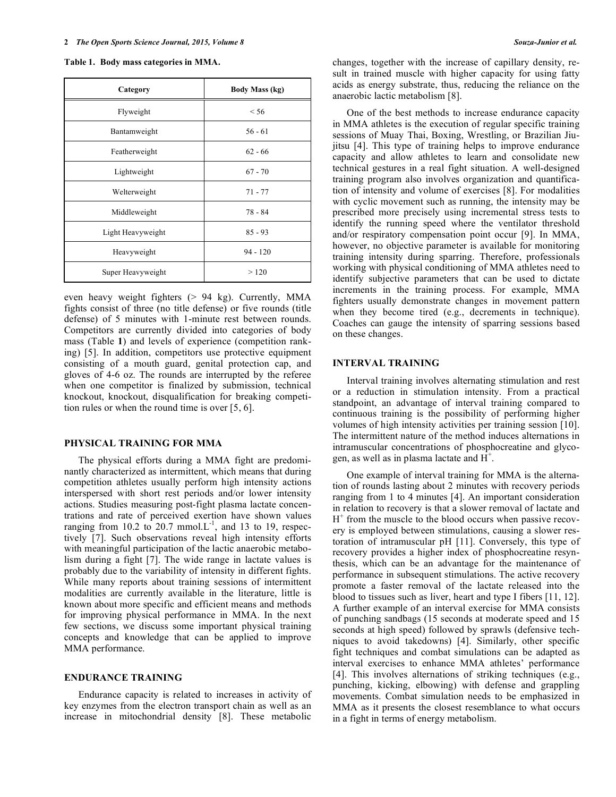|  | Table 1. Body mass categories in MMA. |  |  |
|--|---------------------------------------|--|--|
|--|---------------------------------------|--|--|

| Category          | <b>Body Mass (kg)</b> |  |
|-------------------|-----------------------|--|
| Flyweight         | < 56                  |  |
| Bantamweight      | $56 - 61$             |  |
| Featherweight     | $62 - 66$             |  |
| Lightweight       | $67 - 70$             |  |
| Welterweight      | $71 - 77$             |  |
| Middleweight      | $78 - 84$             |  |
| Light Heavyweight | $85 - 93$             |  |
| Heavyweight       | $94 - 120$            |  |
| Super Heavyweight | >120                  |  |

even heavy weight fighters (> 94 kg). Currently, MMA fights consist of three (no title defense) or five rounds (title defense) of 5 minutes with 1-minute rest between rounds. Competitors are currently divided into categories of body mass (Table **1**) and levels of experience (competition ranking) [5]. In addition, competitors use protective equipment consisting of a mouth guard, genital protection cap, and gloves of 4-6 oz. The rounds are interrupted by the referee when one competitor is finalized by submission, technical knockout, knockout, disqualification for breaking competition rules or when the round time is over [5, 6].

## **PHYSICAL TRAINING FOR MMA**

The physical efforts during a MMA fight are predominantly characterized as intermittent, which means that during competition athletes usually perform high intensity actions interspersed with short rest periods and/or lower intensity actions. Studies measuring post-fight plasma lactate concentrations and rate of perceived exertion have shown values ranging from 10.2 to 20.7 mmol.  $L^{-1}$ , and 13 to 19, respectively [7]. Such observations reveal high intensity efforts with meaningful participation of the lactic anaerobic metabolism during a fight [7]. The wide range in lactate values is probably due to the variability of intensity in different fights. While many reports about training sessions of intermittent modalities are currently available in the literature, little is known about more specific and efficient means and methods for improving physical performance in MMA. In the next few sections, we discuss some important physical training concepts and knowledge that can be applied to improve MMA performance.

#### **ENDURANCE TRAINING**

Endurance capacity is related to increases in activity of key enzymes from the electron transport chain as well as an increase in mitochondrial density [8]. These metabolic changes, together with the increase of capillary density, result in trained muscle with higher capacity for using fatty acids as energy substrate, thus, reducing the reliance on the anaerobic lactic metabolism [8].

One of the best methods to increase endurance capacity in MMA athletes is the execution of regular specific training sessions of Muay Thai, Boxing, Wrestling, or Brazilian Jiujitsu [4]. This type of training helps to improve endurance capacity and allow athletes to learn and consolidate new technical gestures in a real fight situation. A well-designed training program also involves organization and quantification of intensity and volume of exercises [8]. For modalities with cyclic movement such as running, the intensity may be prescribed more precisely using incremental stress tests to identify the running speed where the ventilator threshold and/or respiratory compensation point occur [9]. In MMA, however, no objective parameter is available for monitoring training intensity during sparring. Therefore, professionals working with physical conditioning of MMA athletes need to identify subjective parameters that can be used to dictate increments in the training process. For example, MMA fighters usually demonstrate changes in movement pattern when they become tired (e.g., decrements in technique). Coaches can gauge the intensity of sparring sessions based on these changes.

### **INTERVAL TRAINING**

Interval training involves alternating stimulation and rest or a reduction in stimulation intensity. From a practical standpoint, an advantage of interval training compared to continuous training is the possibility of performing higher volumes of high intensity activities per training session [10]. The intermittent nature of the method induces alternations in intramuscular concentrations of phosphocreatine and glycogen, as well as in plasma lactate and  $\overrightarrow{H}^+$ .

One example of interval training for MMA is the alternation of rounds lasting about 2 minutes with recovery periods ranging from 1 to 4 minutes [4]. An important consideration in relation to recovery is that a slower removal of lactate and H<sup>+</sup> from the muscle to the blood occurs when passive recovery is employed between stimulations, causing a slower restoration of intramuscular pH [11]. Conversely, this type of recovery provides a higher index of phosphocreatine resynthesis, which can be an advantage for the maintenance of performance in subsequent stimulations. The active recovery promote a faster removal of the lactate released into the blood to tissues such as liver, heart and type I fibers [11, 12]. A further example of an interval exercise for MMA consists of punching sandbags (15 seconds at moderate speed and 15 seconds at high speed) followed by sprawls (defensive techniques to avoid takedowns) [4]. Similarly, other specific fight techniques and combat simulations can be adapted as interval exercises to enhance MMA athletes' performance [4]. This involves alternations of striking techniques (e.g., punching, kicking, elbowing) with defense and grappling movements. Combat simulation needs to be emphasized in MMA as it presents the closest resemblance to what occurs in a fight in terms of energy metabolism.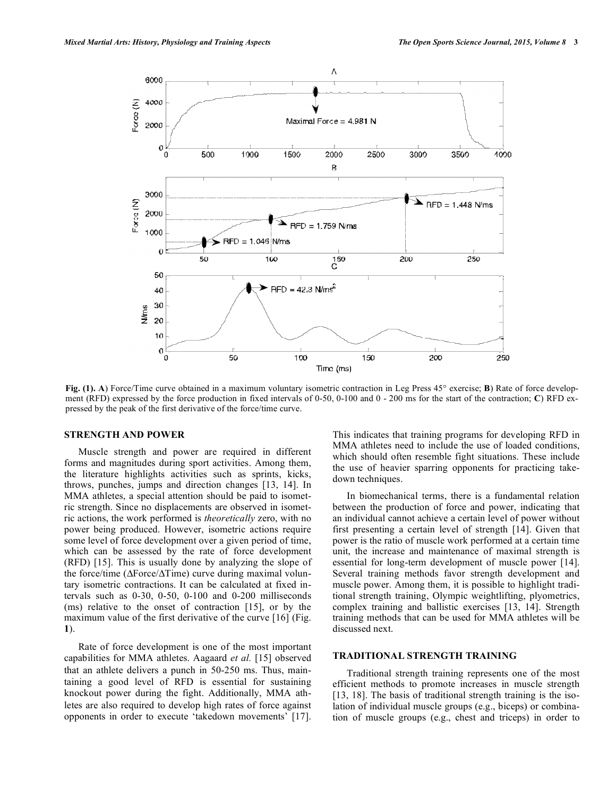

Fig. (1). A) Force/Time curve obtained in a maximum voluntary isometric contraction in Leg Press 45° exercise; **B**) Rate of force development (RFD) expressed by the force production in fixed intervals of 0-50, 0-100 and 0 - 200 ms for the start of the contraction; **C**) RFD expressed by the peak of the first derivative of the force/time curve.

#### **STRENGTH AND POWER**

Muscle strength and power are required in different forms and magnitudes during sport activities. Among them, the literature highlights activities such as sprints, kicks, throws, punches, jumps and direction changes [13, 14]. In MMA athletes, a special attention should be paid to isometric strength. Since no displacements are observed in isometric actions, the work performed is *theoretically* zero, with no power being produced. However, isometric actions require some level of force development over a given period of time, which can be assessed by the rate of force development (RFD) [15]. This is usually done by analyzing the slope of the force/time ( $\Delta$ Force/ $\Delta$ Time) curve during maximal voluntary isometric contractions. It can be calculated at fixed intervals such as 0-30, 0-50, 0-100 and 0-200 milliseconds (ms) relative to the onset of contraction [15], or by the maximum value of the first derivative of the curve [16] (Fig. **1**).

Rate of force development is one of the most important capabilities for MMA athletes. Aagaard *et al.* [15] observed that an athlete delivers a punch in 50-250 ms. Thus, maintaining a good level of RFD is essential for sustaining knockout power during the fight. Additionally, MMA athletes are also required to develop high rates of force against opponents in order to execute 'takedown movements' [17]. This indicates that training programs for developing RFD in MMA athletes need to include the use of loaded conditions, which should often resemble fight situations. These include the use of heavier sparring opponents for practicing takedown techniques.

In biomechanical terms, there is a fundamental relation between the production of force and power, indicating that an individual cannot achieve a certain level of power without first presenting a certain level of strength [14]. Given that power is the ratio of muscle work performed at a certain time unit, the increase and maintenance of maximal strength is essential for long-term development of muscle power [14]. Several training methods favor strength development and muscle power. Among them, it is possible to highlight traditional strength training, Olympic weightlifting, plyometrics, complex training and ballistic exercises [13, 14]. Strength training methods that can be used for MMA athletes will be discussed next.

### **TRADITIONAL STRENGTH TRAINING**

Traditional strength training represents one of the most efficient methods to promote increases in muscle strength [13, 18]. The basis of traditional strength training is the isolation of individual muscle groups (e.g., biceps) or combination of muscle groups (e.g., chest and triceps) in order to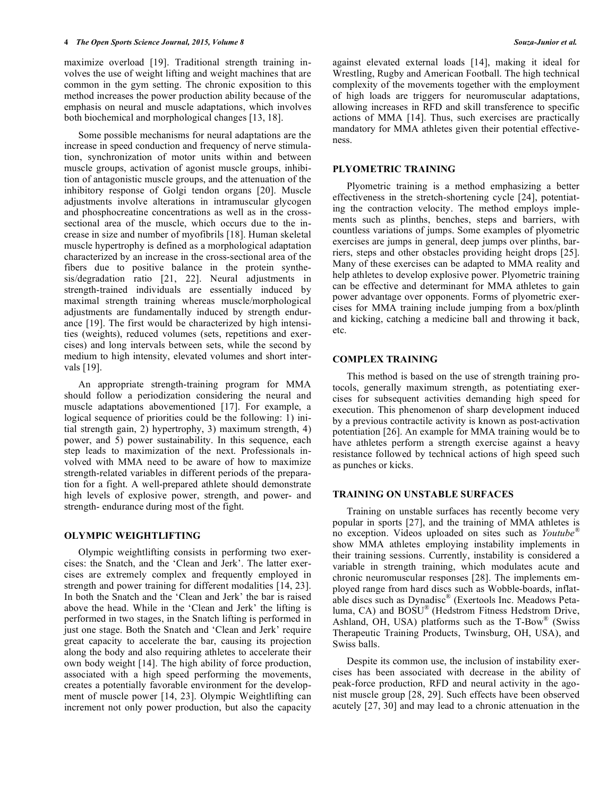maximize overload [19]. Traditional strength training involves the use of weight lifting and weight machines that are common in the gym setting. The chronic exposition to this method increases the power production ability because of the emphasis on neural and muscle adaptations, which involves both biochemical and morphological changes [13, 18].

Some possible mechanisms for neural adaptations are the increase in speed conduction and frequency of nerve stimulation, synchronization of motor units within and between muscle groups, activation of agonist muscle groups, inhibition of antagonistic muscle groups, and the attenuation of the inhibitory response of Golgi tendon organs [20]. Muscle adjustments involve alterations in intramuscular glycogen and phosphocreatine concentrations as well as in the crosssectional area of the muscle, which occurs due to the increase in size and number of myofibrils [18]. Human skeletal muscle hypertrophy is defined as a morphological adaptation characterized by an increase in the cross-sectional area of the fibers due to positive balance in the protein synthesis/degradation ratio [21, 22]. Neural adjustments in strength-trained individuals are essentially induced by maximal strength training whereas muscle/morphological adjustments are fundamentally induced by strength endurance [19]. The first would be characterized by high intensities (weights), reduced volumes (sets, repetitions and exercises) and long intervals between sets, while the second by medium to high intensity, elevated volumes and short intervals [19].

An appropriate strength-training program for MMA should follow a periodization considering the neural and muscle adaptations abovementioned [17]. For example, a logical sequence of priorities could be the following: 1) initial strength gain, 2) hypertrophy, 3) maximum strength, 4) power, and 5) power sustainability. In this sequence, each step leads to maximization of the next. Professionals involved with MMA need to be aware of how to maximize strength-related variables in different periods of the preparation for a fight. A well-prepared athlete should demonstrate high levels of explosive power, strength, and power- and strength- endurance during most of the fight.

# **OLYMPIC WEIGHTLIFTING**

Olympic weightlifting consists in performing two exercises: the Snatch, and the 'Clean and Jerk'. The latter exercises are extremely complex and frequently employed in strength and power training for different modalities [14, 23]. In both the Snatch and the 'Clean and Jerk' the bar is raised above the head. While in the 'Clean and Jerk' the lifting is performed in two stages, in the Snatch lifting is performed in just one stage. Both the Snatch and 'Clean and Jerk' require great capacity to accelerate the bar, causing its projection along the body and also requiring athletes to accelerate their own body weight [14]. The high ability of force production, associated with a high speed performing the movements, creates a potentially favorable environment for the development of muscle power [14, 23]. Olympic Weightlifting can increment not only power production, but also the capacity against elevated external loads [14], making it ideal for Wrestling, Rugby and American Football. The high technical complexity of the movements together with the employment of high loads are triggers for neuromuscular adaptations, allowing increases in RFD and skill transference to specific actions of MMA [14]. Thus, such exercises are practically mandatory for MMA athletes given their potential effectiveness.

# **PLYOMETRIC TRAINING**

Plyometric training is a method emphasizing a better effectiveness in the stretch-shortening cycle [24], potentiating the contraction velocity. The method employs implements such as plinths, benches, steps and barriers, with countless variations of jumps. Some examples of plyometric exercises are jumps in general, deep jumps over plinths, barriers, steps and other obstacles providing height drops [25]. Many of these exercises can be adapted to MMA reality and help athletes to develop explosive power. Plyometric training can be effective and determinant for MMA athletes to gain power advantage over opponents. Forms of plyometric exercises for MMA training include jumping from a box/plinth and kicking, catching a medicine ball and throwing it back, etc.

## **COMPLEX TRAINING**

This method is based on the use of strength training protocols, generally maximum strength, as potentiating exercises for subsequent activities demanding high speed for execution. This phenomenon of sharp development induced by a previous contractile activity is known as post-activation potentiation [26]. An example for MMA training would be to have athletes perform a strength exercise against a heavy resistance followed by technical actions of high speed such as punches or kicks.

#### **TRAINING ON UNSTABLE SURFACES**

Training on unstable surfaces has recently become very popular in sports [27], and the training of MMA athletes is no exception. Videos uploaded on sites such as *Youtube®* show MMA athletes employing instability implements in their training sessions. Currently, instability is considered a variable in strength training, which modulates acute and chronic neuromuscular responses [28]. The implements employed range from hard discs such as Wobble-boards, inflatable discs such as Dynadisc® (Exertools Inc. Meadows Petaluma, CA) and BOSU® (Hedstrom Fitness Hedstrom Drive, Ashland, OH, USA) platforms such as the  $T$ -Bow<sup>®</sup> (Swiss Therapeutic Training Products, Twinsburg, OH, USA), and Swiss balls.

Despite its common use, the inclusion of instability exercises has been associated with decrease in the ability of peak-force production, RFD and neural activity in the agonist muscle group [28, 29]. Such effects have been observed acutely [27, 30] and may lead to a chronic attenuation in the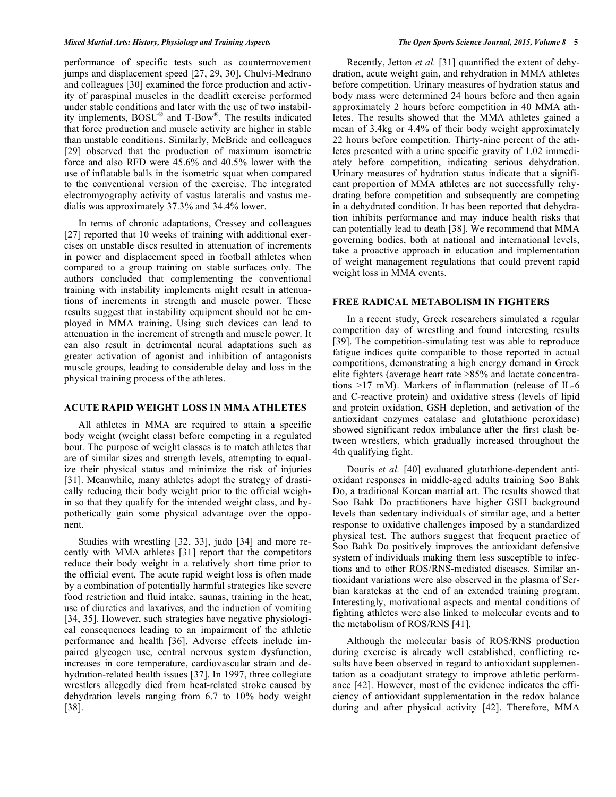performance of specific tests such as countermovement jumps and displacement speed [27, 29, 30]. Chulvi-Medrano and colleagues [30] examined the force production and activity of paraspinal muscles in the deadlift exercise performed under stable conditions and later with the use of two instability implements, BOSU® and T-Bow®. The results indicated that force production and muscle activity are higher in stable than unstable conditions. Similarly, McBride and colleagues [29] observed that the production of maximum isometric force and also RFD were 45.6% and 40.5% lower with the use of inflatable balls in the isometric squat when compared to the conventional version of the exercise. The integrated electromyography activity of vastus lateralis and vastus medialis was approximately 37.3% and 34.4% lower.

In terms of chronic adaptations, Cressey and colleagues [27] reported that 10 weeks of training with additional exercises on unstable discs resulted in attenuation of increments in power and displacement speed in football athletes when compared to a group training on stable surfaces only. The authors concluded that complementing the conventional training with instability implements might result in attenuations of increments in strength and muscle power. These results suggest that instability equipment should not be employed in MMA training. Using such devices can lead to attenuation in the increment of strength and muscle power. It can also result in detrimental neural adaptations such as greater activation of agonist and inhibition of antagonists muscle groups, leading to considerable delay and loss in the physical training process of the athletes.

# **ACUTE RAPID WEIGHT LOSS IN MMA ATHLETES**

All athletes in MMA are required to attain a specific body weight (weight class) before competing in a regulated bout. The purpose of weight classes is to match athletes that are of similar sizes and strength levels, attempting to equalize their physical status and minimize the risk of injuries [31]. Meanwhile, many athletes adopt the strategy of drastically reducing their body weight prior to the official weighin so that they qualify for the intended weight class, and hypothetically gain some physical advantage over the opponent.

Studies with wrestling [32, 33], judo [34] and more recently with MMA athletes [31] report that the competitors reduce their body weight in a relatively short time prior to the official event. The acute rapid weight loss is often made by a combination of potentially harmful strategies like severe food restriction and fluid intake, saunas, training in the heat, use of diuretics and laxatives, and the induction of vomiting [34, 35]. However, such strategies have negative physiological consequences leading to an impairment of the athletic performance and health [36]. Adverse effects include impaired glycogen use, central nervous system dysfunction, increases in core temperature, cardiovascular strain and dehydration-related health issues [37]. In 1997, three collegiate wrestlers allegedly died from heat-related stroke caused by dehydration levels ranging from 6.7 to 10% body weight [38].

Recently, Jetton *et al.* [31] quantified the extent of dehydration, acute weight gain, and rehydration in MMA athletes before competition. Urinary measures of hydration status and body mass were determined 24 hours before and then again approximately 2 hours before competition in 40 MMA athletes. The results showed that the MMA athletes gained a mean of 3.4kg or 4.4% of their body weight approximately 22 hours before competition. Thirty-nine percent of the athletes presented with a urine specific gravity of 1.02 immediately before competition, indicating serious dehydration. Urinary measures of hydration status indicate that a significant proportion of MMA athletes are not successfully rehydrating before competition and subsequently are competing in a dehydrated condition. It has been reported that dehydration inhibits performance and may induce health risks that can potentially lead to death [38]. We recommend that MMA governing bodies, both at national and international levels, take a proactive approach in education and implementation of weight management regulations that could prevent rapid weight loss in MMA events.

#### **FREE RADICAL METABOLISM IN FIGHTERS**

In a recent study, Greek researchers simulated a regular competition day of wrestling and found interesting results [39]. The competition-simulating test was able to reproduce fatigue indices quite compatible to those reported in actual competitions, demonstrating a high energy demand in Greek elite fighters (average heart rate >85% and lactate concentrations >17 mM). Markers of inflammation (release of IL-6 and C-reactive protein) and oxidative stress (levels of lipid and protein oxidation, GSH depletion, and activation of the antioxidant enzymes catalase and glutathione peroxidase) showed significant redox imbalance after the first clash between wrestlers, which gradually increased throughout the 4th qualifying fight.

Douris *et al.* [40] evaluated glutathione-dependent antioxidant responses in middle-aged adults training Soo Bahk Do, a traditional Korean martial art. The results showed that Soo Bahk Do practitioners have higher GSH background levels than sedentary individuals of similar age, and a better response to oxidative challenges imposed by a standardized physical test. The authors suggest that frequent practice of Soo Bahk Do positively improves the antioxidant defensive system of individuals making them less susceptible to infections and to other ROS/RNS-mediated diseases. Similar antioxidant variations were also observed in the plasma of Serbian karatekas at the end of an extended training program. Interestingly, motivational aspects and mental conditions of fighting athletes were also linked to molecular events and to the metabolism of ROS/RNS [41].

Although the molecular basis of ROS/RNS production during exercise is already well established, conflicting results have been observed in regard to antioxidant supplementation as a coadjutant strategy to improve athletic performance [42]. However, most of the evidence indicates the efficiency of antioxidant supplementation in the redox balance during and after physical activity [42]. Therefore, MMA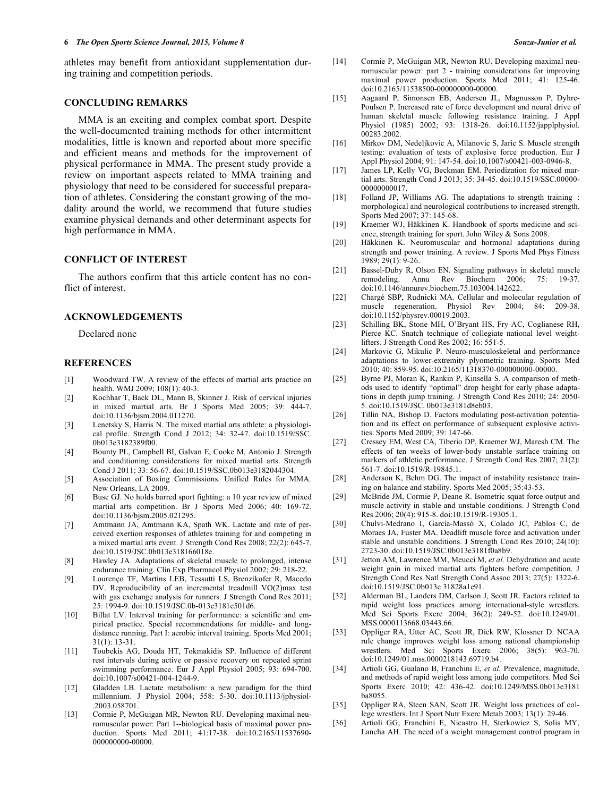athletes may benefit from antioxidant supplementation during training and competition periods.

## **CONCLUDING REMARKS**

MMA is an exciting and complex combat sport. Despite the well-documented training methods for other intermittent modalities, little is known and reported about more specific and efficient means and methods for the improvement of physical performance in MMA. The present study provide a review on important aspects related to MMA training and physiology that need to be considered for successful preparation of athletes. Considering the constant growing of the modality around the world, we recommend that future studies examine physical demands and other determinant aspects for high performance in MMA.

## **CONFLICT OF INTEREST**

The authors confirm that this article content has no conflict of interest.

## **ACKNOWLEDGEMENTS**

Declared none

#### **REFERENCES**

- [1] Woodward TW. A review of the effects of martial arts practice on health. WMJ 2009; 108(1): 40-3.
- [2] Kochhar T, Back DL, Mann B, Skinner J. Risk of cervical injuries in mixed martial arts. Br J Sports Med 2005; 39: 444-7. doi:10.1136/bjsm.2004.011270.
- [3] Lenetsky S, Harris N. The mixed martial arts athlete: a physiological profile. Strength Cond J 2012; 34: 32-47. doi:10.1519/SSC. 0b013e3182389f00.
- [4] Bounty PL, Campbell BI, Galvan E, Cooke M, Antonio J. Strength and conditioning considerations for mixed martial arts. Strength Cond J 2011; 33: 56-67. doi:10.1519/SSC.0b013e3182044304.
- [5] Association of Boxing Commissions. Unified Rules for MMA. New Orleans, LA 2009.
- [6] Buse GJ. No holds barred sport fighting: a 10 year review of mixed martial arts competition. Br J Sports Med 2006; 40: 169-72. doi:10.1136/bjsm.2005.021295.
- [7] Amtmann JA, Amtmann KA, Spath WK. Lactate and rate of perceived exertion responses of athletes training for and competing in a mixed martial arts event. J Strength Cond Res 2008; 22(2): 645-7. doi:10.1519/JSC.0b013e318166018e.
- [8] Hawley JA. Adaptations of skeletal muscle to prolonged, intense endurance training. Clin Exp Pharmacol Physiol 2002; 29: 218-22.
- [9] Lourenço TF, Martins LEB, Tessutti LS, Brenzikofer R, Macedo DV. Reproducibility of an incremental treadmill VO(2)max test with gas exchange analysis for runners. J Strength Cond Res 2011; 25: 1994-9. doi:10.1519/JSC.0b-013e3181e501d6.
- [10] Billat LV. Interval training for performance: a scientific and empirical practice. Special recommendations for middle- and longdistance running. Part I: aerobic interval training. Sports Med 2001; 31(1): 13-31.
- [11] Toubekis AG, Douda HT, Tokmakidis SP. Influence of different rest intervals during active or passive recovery on repeated sprint swimming performance. Eur J Appl Physiol 2005; 93: 694-700. doi:10.1007/s00421-004-1244-9.
- [12] Gladden LB. Lactate metabolism: a new paradigm for the third millennium. J Physiol 2004; 558: 5-30. doi:10.1113/jphysiol- .2003.058701.
- [13] Cormie P, McGuigan MR, Newton RU. Developing maximal neuromuscular power: Part 1--biological basis of maximal power production. Sports Med 2011; 41:17-38. doi:10.2165/11537690- 000000000-00000.
- [14] Cormie P, McGuigan MR, Newton RU. Developing maximal neuromuscular power: part 2 - training considerations for improving maximal power production. Sports Med 2011; 41: 125-46. doi:10.2165/11538500-000000000-00000.
- [15] Aagaard P, Simonsen EB, Andersen JL, Magnusson P, Dyhre-Poulsen P. Increased rate of force development and neural drive of human skeletal muscle following resistance training. J Appl Physiol (1985) 2002; 93: 1318-26. doi:10.1152/japplphysiol. 00283.2002.
- [16] Mirkov DM, Nedeljkovic A, Milanovic S, Jaric S. Muscle strength testing: evaluation of tests of explosive force production. Eur J Appl Physiol 2004; 91: 147-54. doi:10.1007/s00421-003-0946-8.
- [17] James LP, Kelly VG, Beckman EM. Periodization for mixed martial arts. Strength Cond J 2013; 35: 34-45. doi:10.1519/SSC.00000- 00000000017.
- [18] Folland JP, Williams AG. The adaptations to strength training : morphological and neurological contributions to increased strength. Sports Med 2007; 37: 145-68.
- [19] Kraemer WJ, Häkkinen K. Handbook of sports medicine and science, strength training for sport. John Wiley & Sons 2008.
- [20] Häkkinen K. Neuromuscular and hormonal adaptations during strength and power training. A review. J Sports Med Phys Fitness  $1989; 29(1): 9-26.$
- [21] Bassel-Duby R, Olson EN. Signaling pathways in skeletal muscle remodeling. Annu Rev Biochem 2006; 75: 19-37. doi:10.1146/annurev.biochem.75.103004.142622.
- [22] Chargé SBP, Rudnicki MA. Cellular and molecular regulation of muscle regeneration. Physiol Rev 2004; 84: 209-38. doi:10.1152/physrev.00019.2003.
- [23] Schilling BK, Stone MH, O'Bryant HS, Fry AC, Coglianese RH, Pierce KC. Snatch technique of collegiate national level weightlifters. J Strength Cond Res 2002; 16: 551-5.
- [24] Markovic G, Mikulic P. Neuro-musculoskeletal and performance adaptations to lower-extremity plyometric training. Sports Med 2010; 40: 859-95. doi:10.2165/11318370-000000000-00000.
- [25] Byrne PJ, Moran K, Rankin P, Kinsella S. A comparison of methods used to identify "optimal" drop height for early phase adaptations in depth jump training. J Strength Cond Res 2010; 24: 2050- 5. doi:10.1519/JSC. 0b013e3181d8eb03.
- [26] Tillin NA, Bishop D. Factors modulating post-activation potentiation and its effect on performance of subsequent explosive activities. Sports Med 2009; 39: 147-66.
- [27] Cressey EM, West CA, Tiberio DP, Kraemer WJ, Maresh CM. The effects of ten weeks of lower-body unstable surface training on markers of athletic performance. J Strength Cond Res 2007; 21(2): 561-7. doi:10.1519/R-19845.1.
- [28] Anderson K, Behm DG. The impact of instability resistance training on balance and stability. Sports Med 2005; 35:43-53.
- [29] McBride JM, Cormie P, Deane R. Isometric squat force output and muscle activity in stable and unstable conditions. J Strength Cond Res 2006; 20(4): 915-8. doi:10.1519/R-19305.1.
- [30] Chulvi-Medrano I, García-Massó X, Colado JC, Pablos C, de Moraes JA, Fuster MA. Deadlift muscle force and activation under stable and unstable conditions. J Strength Cond Res 2010; 24(10): 2723-30. doi:10.1519/JSC.0b013e3181f0a8b9.
- [31] Jetton AM, Lawrence MM, Meucci M, et al. Dehydration and acute weight gain in mixed martial arts fighters before competition. J Strength Cond Res Natl Strength Cond Assoc 2013; 27(5): 1322-6. doi:10.1519/JSC.0b013e 31828a1e91.
- [32] Alderman BL, Landers DM, Carlson J, Scott JR. Factors related to rapid weight loss practices among international-style wrestlers. Med Sci Sports Exerc 2004; 36(2): 249-52. doi:10.1249/01. MSS.0000113668.03443.66.
- [33] Oppliger RA, Utter AC, Scott JR, Dick RW, Klossner D. NCAA rule change improves weight loss among national championship wrestlers. Med Sci Sports Exerc 2006; 38(5): 963-70. doi:10.1249/01.mss.0000218143.69719.b4.
- [34] Artioli GG, Gualano B, Franchini E, *et al.* Prevalence, magnitude, and methods of rapid weight loss among judo competitors. Med Sci Sports Exerc 2010; 42: 436-42. doi:10.1249/MSS.0b013e3181 ba8055.
- [35] Oppliger RA, Steen SAN, Scott JR. Weight loss practices of college wrestlers. Int J Sport Nutr Exerc Metab 2003; 13(1): 29-46.
- [36] Artioli GG, Franchini E, Nicastro H, Sterkowicz S, Solis MY, Lancha AH. The need of a weight management control program in